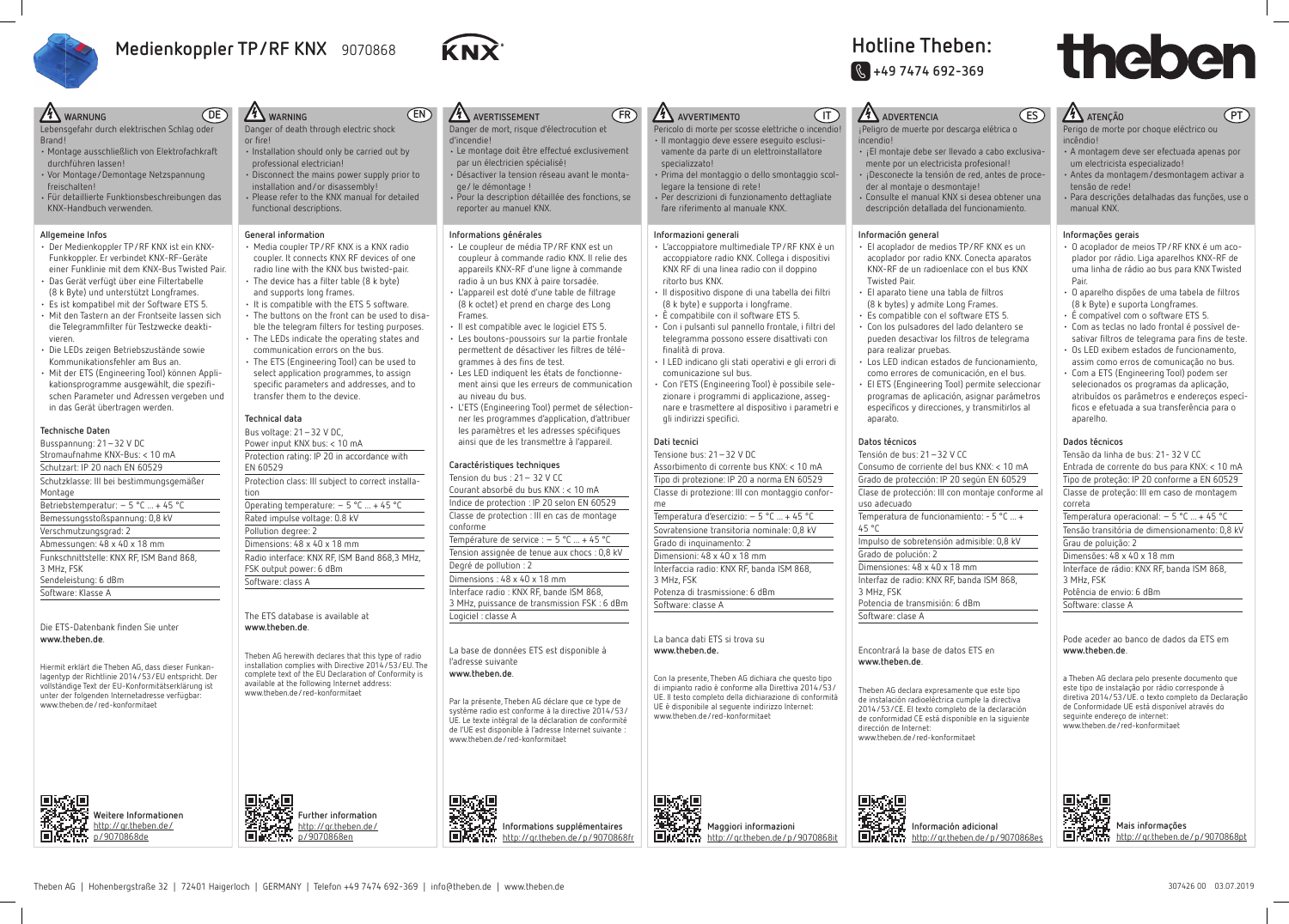# **Hotline Theben: J +49 7474 692-369**

- Lebensgefahr durch elektrischen Schlag oder Brand!
- Montage ausschließlich von Elektrofachkraft durchführen lassen!
- Vor Montage/Demontage Netzspannung freischalten!
- Für detaillierte Funktionsbeschreibungen das KNX-Handbuch verwenden.

### **Allgemeine Infos**

- Der Medienkoppler TP/RF KNX ist ein KNX-Funkkoppler. Er verbindet KNX-RF-Geräte einer Funklinie mit dem KNX-Bus Twisted Pair.
- Das Gerät verfügt über eine Filtertabelle (8 k Byte) und unterstützt Longframes.
- Es ist kompatibel mit der Software ETS 5.
- Mit den Tastern an der Frontseite lassen sich die Telegrammfilter für Testzwecke deaktivieren.
- Die LEDs zeigen Betriebszustände sowie Kommunikationsfehler am Bus an.
- Mit der ETS (Engineering Tool) können Applikationsprogramme ausgewählt, die spezifi schen Parameter und Adressen vergeben und in das Gerät übertragen werden.

### **Technische Daten**

- Media coupler TP/RF KNX is a KNX radio coupler. It connects KNX RF devices of one radio line with the KNX bus twisted-pair.
- $\cdot$  The device has a filter table (8 k byte) and supports long frames.
- It is compatible with the ETS 5 software. • The buttons on the front can be used to disa-
- ble the telegram filters for testing purposes.
- communication errors on the bus. • The ETS (Engineering Tool) can be used to
- select application programmes, to assign specific parameters and addresses, and to

| Busspannung: 21 - 32 V DC                |
|------------------------------------------|
| Stromaufnahme KNX-Bus: < 10 mA           |
| Schutzart: IP 20 nach EN 60529           |
| Schutzklasse: III bei bestimmungsgemäßer |
| Montage                                  |
| Betriebstemperatur: $-5$ °C  + 45 °C     |
| Bemessungsstoßspannung: 0,8 kV           |
| Verschmutzungsgrad: 2                    |
| Abmessungen: 48 x 40 x 18 mm             |
| Funkschnittstelle: KNX RF, ISM Band 868, |
| 3 MHz, FSK                               |
| Sendeleistung: 6 dBm                     |
| Software: Klasse A                       |
|                                          |

Die ETS-Datenbank finden Sie unter **www.theben.de**.

Hiermit erklärt die Theben AG, dass dieser Funkanlagentyp der Richtlinie 2014/53/EU entspricht. Der vollständige Text der EU-Konformitätserklärung ist unter der folgenden Internetadresse verfügbar: www.theben.de/red-konformitaet



 **Weitere Informationen** http://gr.theben.de/ p/9070868de

### **Technical data**

Bus voltage: 21–32 V DC, Power input KNX bus: < 10 mA Protection rating: IP 20 in accordance with EN 60529

Protection class: III subject to correct installation

Operating temperature: – 5 °C ... + 45 °C Rated impulse voltage: 0.8 kV Pollution degree: 2 Dimensions: 48 x 40 x 18 mm Radio interface: KNX RF, ISM Band 868,3 MHz,

FSK output power: 6 dBm Software: class A

The ETS database is available at **www.theben.de**.

Theben AG herewith declares that this type of radio installation complies with Directive 2014/53/EU. The complete text of the EU Declaration of Conformity is available at the following Internet address: www.theben.de/red-konformitaet

 **Further information** http://qr.theben.de/ p/9070868en

### **DE 4** WARNING **FR AVVERTIMENTO EN AVERTISSEMENT IT ADVERTENCIA** Danger of death through electric shock Danger de mort, risque d'électrocution et Pericolo di morte per scosse elettriche o incendio! ¡Peligro de muerte por descarga elétrica o • Il montaggio deve essere eseguito esclusid'incendie! incendio! • Le montage doit être effectué exclusivement • Installation should only be carried out by vamente da parte di un elettroinstallatore • ¡El montaje debe ser llevado a cabo exclusivaprofessional electrician! par un électricien spécialisé! specializzato! mente por un electricista profesional! • Disconnect the mains power supply prior to • Désactiver la tension réseau avant le monta-• Prima del montaggio o dello smontaggio scol-• ¡Desconecte la tensión de red, antes de proceinstallation and/or disassembly! legare la tensione di rete! ge/ le démontage ! der al montaje o desmontaje! • Please refer to the KNX manual for detailed • Pour la description détaillée des fonctions, se • Per descrizioni di funzionamento dettagliate • Consulte el manual KNX si desea obtener una functional descriptions. fare riferimento al manuale KNX. reporter au manuel KNX. descripción detallada del funcionamiento. **General information Informations générales Informazioni generali Información general** • Le coupleur de média TP/RF KNX est un • L'accoppiatore multimediale TP/RF KNX è un • El acoplador de medios TP/RF KNX es un coupleur à commande radio KNX. Il relie des accoppiatore radio KNX. Collega i dispositivi acoplador por radio KNX. Conecta aparatos appareils KNX-RF d'une ligne à commande KNX RF di una linea radio con il doppino KNX-RF de un radioenlace con el bus KNX radio à un bus KNX à paire torsadée. ritorto bus KNX. Twisted Pair. • L'appareil est doté d'une table de filtrage • Il dispositivo dispone di una tabella dei filtri • El aparato tiene una tabla de filtros (8 k octet) et prend en charge des Long (8 k byte) e supporta i longframe. (8 k bytes) y admite Long Frames. • È compatibile con il software ETS 5. • Es compatible con el software ETS 5. Frames. • Il est compatible avec le logiciel ETS 5. • Con i pulsanti sul pannello frontale, i filtri del • Con los pulsadores del lado delantero se • The LEDs indicate the operating states and • Les boutons-poussoirs sur la partie frontale telegramma possono essere disattivati con pueden desactivar los filtros de telegrama permettent de désactiver les filtres de téléfinalità di prova. para realizar pruebas. • I LED indicano gli stati operativi e gli errori di grammes à des fins de test. • Los LED indican estados de funcionamiento, • Les LED indiquent les états de fonctionnecomunicazione sul bus. como errores de comunicación, en el bus. ment ainsi que les erreurs de communication • Con l'ETS (Engineering Tool) è possibile sele-• El ETS (Engineering Tool) permite seleccionar transfer them to the device. au niveau du bus. zionare i programmi di applicazione, assegprogramas de aplicación, asignar parámetros • L'ETS (Engineering Tool) permet de sélectionnare e trasmettere al dispositivo i parametri e específicos y direcciones, y transmitirlos al ner les programmes d'application, d'attribuer gli indirizzi specifici. aparato. les paramètres et les adresses spécifiques ainsi que de les transmettre à l'appareil. **Dati tecnici Datos técnicos** Tensione bus: 21–32 V DC Tensión de bus: 21–32 V CC **Caractéristiques techniques** Assorbimento di corrente bus KNX: < 10 mA Consumo de corriente del bus KNX: < 10 mA Tension du bus : 21– 32 V CC Tipo di protezione: IP 20 a norma EN 60529 Grado de protección: IP 20 según EN 60529 Courant absorbé du bus KNX : < 10 mA Classe di protezione: III con montaggio confor-Clase de protección: III con montaje conforme al Indice de protection : IP 20 selon EN 60529 uso adecuado me Classe de protection : III en cas de montage Temperatura de funcionamiento: - 5 °C ... + Temperatura d'esercizio: – 5 °C ... + 45 °C conforme Sovratensione transitoria nominale: 0,8 kV 45 °C Température de service : - 5 °C ... + 45 °C Grado di inquinamento: 2 Impulso de sobretensión admisible: 0,8 kV Tension assignée de tenue aux chocs : 0,8 kV Grado de polución: 2 Dimensioni: 48 x 40 x 18 mm Degré de pollution : 2 Interfaccia radio: KNX RF, banda ISM 868, Dimensiones: 48 x 40 x 18 mm Dimensions : 48 x 40 x 18 mm Interfaz de radio: KNX RF, banda ISM 868, 3 MHz, FSK Interface radio : KNX RF, bande ISM 868, Potenza di trasmissione: 6 dBm 3 MHz, FSK 3 MHz, puissance de transmission FSK : 6 dBm Software: classe A Potencia de transmisión: 6 dBm Software: clase A Logiciel : classe A La banca dati ETS si trova su La base de données ETS est disponible à **www.theben.de.** Encontrará la base de datos ETS en l'adresse suivante **www.theben.de**. **www.theben.de**. Con la presente, Theben AG dichiara che questo tipo di impianto radio è conforme alla Direttiva 2014/53/ Theben AG declara expresamente que este tipo UE. Il testo completo della dichiarazione di conformità de instalación radioeléctrica cumple la directiva Par la présente, Theben AG déclare que ce type de UE è disponibile al seguente indirizzo Internet: 2014/53/CE. El texto completo de la declaración système radio est conforme à la directive 2014/53/ www.theben.de/red-konformitaet de conformidad CE está disponible en la siguiente UE. Le texte intégral de la déclaration de conformité de l'UE est disponible à l'adresse Internet suivante : dirección de Internet: www.theben.de/red-konformitaet www.theben.de/red-konformitaet 具添起  **Información adicional**

Tensão da linha de bus: 21- 32 V CC Entrada de corrente do bus para KNX: < 10 mA Tipo de proteção: IP 20 conforme a EN 60529 Classe de proteção: III em caso de montagem correta Temperatura operacional:  $-5$  °C ... + 45 °C

 **Informations supplémentaires** http://qr.theben.de/p/9070868fr

Theben AG | Hohenbergstraße 32 | 72401 Haigerloch | GERMANY | Telefon +49 7474 692-369 | info@theben.de | www.theben.de 307426 00 03.07.2019

 **Maggiori informazioni** http://qr.theben.de/p/9070868it





- 
- 
- 
- 
- 
- 
- 
- 
- 

http://qr.theben.de/p/9070868es

# thebe

# **ES ATENÇÃO**

Perigo de morte por choque eléctrico ou incêndio!

• A montagem deve ser efectuada apenas por um electricista especializado!

- Antes da montagem/desmontagem activar a tensão de rede!
- Para descrições detalhadas das funções, use o manual KNX.

### **Informações gerais**

- O acoplador de meios TP/RF KNX é um acoplador por rádio. Liga aparelhos KNX-RF de uma linha de rádio ao bus para KNX Twisted Pair.
- $\cdot$  O aparelho dispões de uma tabela de filtros (8 k Byte) e suporta Longframes.
- É compatível com o software ETS 5.
- Com as teclas no lado frontal é possível desativar filtros de telegrama para fins de teste.
- Os LED exibem estados de funcionamento, assim como erros de comunicação no bus.
- Com a ETS (Engineering Tool) podem ser selecionados os programas da aplicação, atribuídos os parâmetros e endereços específicos e efetuada a sua transferência para o aparelho.

### **Dados técnicos**

Tensão transitória de dimensionamento: 0,8 kV Grau de poluição: 2

Dimensões: 48 x 40 x 18 mm Interface de rádio: KNX RF, banda ISM 868, 3 MHz, FSK

Potência de envio: 6 dBm

Software: classe A

### Pode aceder ao banco de dados da ETS em **www.theben.de**.

a Theben AG declara pelo presente documento que este tipo de instalação por rádio corresponde à diretiva 2014/53/UE. o texto completo da Declaração de Conformidade UE está disponível através do seguinte endereço de internet: www.theben.de/red-konformitaet



**Mais informações** http://qr.theben.de/p/9070868pt

**PT**



# **Medienkoppler TP/RF KNX** 9070868

or fire!

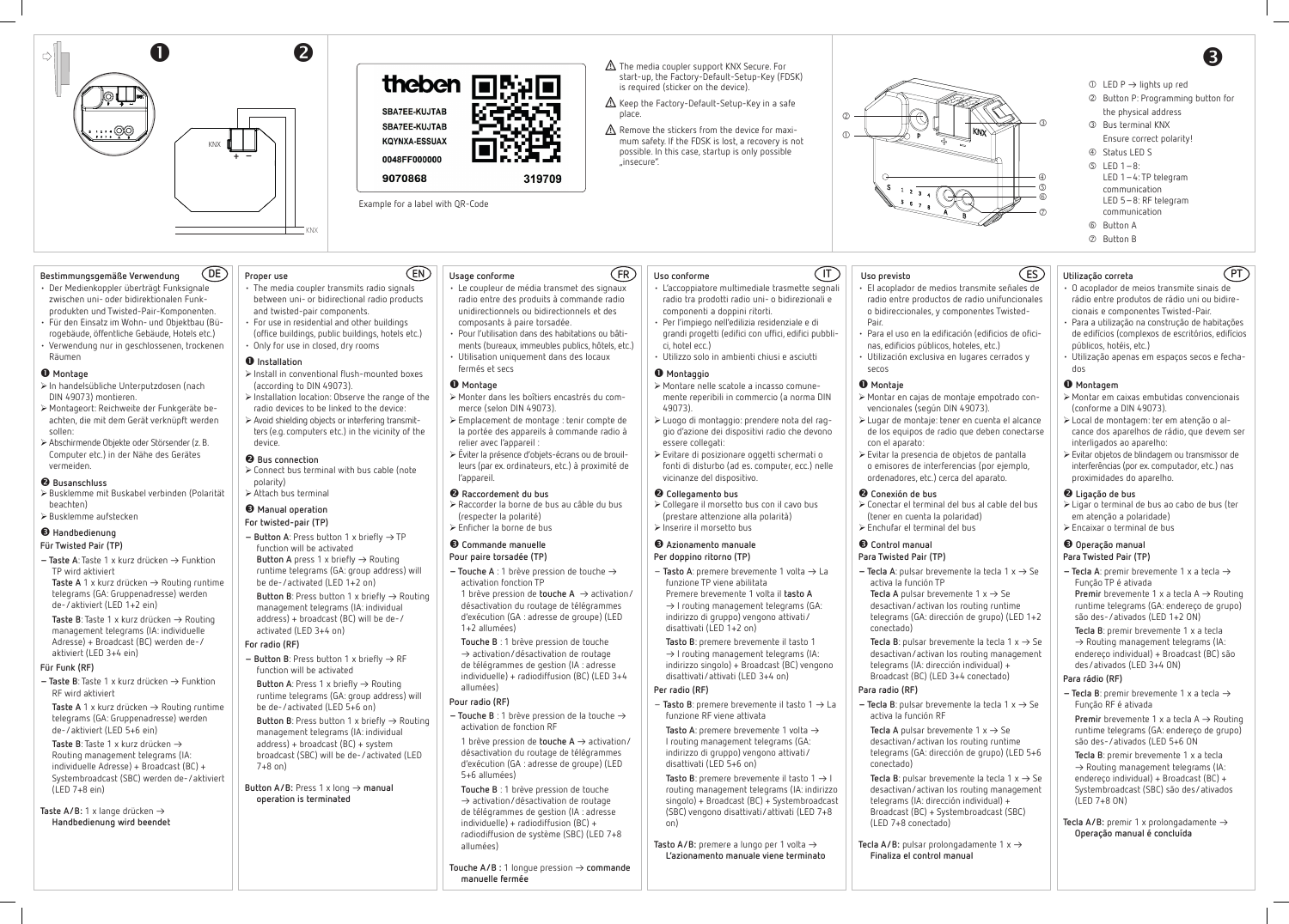### **Bestimmungsgemäße Verwendung**

- Der Medienkoppler überträgt Funksignale zwischen uni- oder bidirektionalen Funkprodukten und Twisted-Pair-Komponenten.
- Für den Einsatz im Wohn- und Objektbau (Bürogebäude, öffentliche Gebäude, Hotels etc.) • Verwendung nur in geschlossenen, trockenen Räumen

### **Montage**

- ¾In handelsübliche Unterputzdosen (nach DIN 49073) montieren.
- ¾Montageort: Reichweite der Funkgeräte beachten, die mit dem Gerät verknüpft werden sollen:
- ¾Abschirmende Objekte oder Störsender (z. B. Computer etc.) in der Nähe des Gerätes vermeiden.

**− Taste A**: Taste 1 x kurz drücken → Funktion TP wird aktiviert **Taste A** 1 x kurz drücken  $\rightarrow$  Routing runtime telegrams (GA: Gruppenadresse) werden de-/aktiviert (LED 1+2 ein)

**Taste B**: Taste 1 x kurz drücken → Routing management telegrams (IA: individuelle Adresse) + Broadcast (BC) werden de-/ aktiviert (LED 3+4 ein)

**− Taste B**: Taste 1 x kurz drücken → Funktion RF wird aktiviert

### **Busanschluss**

**Taste A** 1 x kurz drücken  $\rightarrow$  Routing runtime telegrams (GA: Gruppenadresse) werden de-/aktiviert (LED 5+6 ein)

**Taste B**: Taste 1 x kurz drücken ▻ Routing management telegrams (IA: individuelle Adresse) + Broadcast (BC) + Systembroadcast (SBC) werden de-/aktiviert  $(IFD 7+8$  ein)

- ¾Busklemme mit Buskabel verbinden (Polarität beachten)
- ¾Busklemme aufstecken

### **Handbedienung**

### **Für Twisted Pair (TP)**

**Taste A/B:** 1 x lange drücken → **Handbedienung wird beendet**

- ¾Connect bus terminal with bus cable (note polarity)
- $\triangleright$  Attach bus terminal

### **Für Funk (RF)**

**Button A** press 1 x briefly  $\rightarrow$  Routing runtime telegrams (GA: group address) will be de-/activated (LED 1+2 on)

**Button B**: Press button 1 x briefly  $\rightarrow$  Routing management telegrams (IA: individual address) + broadcast (BC) will be de-/

 $-$  **Button B**: Press button 1 x briefly  $\rightarrow$  RF function will be activated

**Button A**: Press 1 x briefly  $\rightarrow$  Routing runtime telegrams (GA: group address) will be de-/activated (LED 5+6 on)

**Button B**: Press button 1 x briefly  $\rightarrow$  Routing management telegrams (IA: individual address) + broadcast (BC) + system broadcast (SBC) will be de-/activated (LED 7+8 on)

### **Proper use**

**Button A/B:** Press 1 x long → manual **operation is terminated**

**Usage conforme**  $\overline{\text{CE}}$   $\text{E}$   $\text{E}$   $\text{E}$   $\text{E}$   $\text{E}$   $\text{E}$   $\text{E}$   $\text{E}$   $\text{E}$   $\text{E}$   $\text{E}$   $\text{E}$   $\text{E}$   $\text{E}$   $\text{E}$   $\text{E}$   $\text{E}$   $\text{E}$   $\text{E}$   $\text{E}$   $\text{E}$   $\text{E}$   $\text{E}$   $\text{E}$   $\text{E}$   $\text{E}$   $\text$ 

# • The media coupler transmits radio signals

- between uni- or bidirectional radio products and twisted-pair components. • For use in residential and other buildings
- (office buildings, public buildings, hotels etc.) • Only for use in closed, dry rooms

### $\bullet$  Installation

- **Pour paire torsadée (TP)**
- **Touche**  $A : 1$  brève pression de touche  $\rightarrow$ activation fonction TP 1 brève pression de **touche A**  $\rightarrow$  activation/
- ¾Install in conventional flush-mounted boxes (according to DIN 49073). ¾Installation location: Observe the range of the
- radio devices to be linked to the device:  $\triangleright$  Avoid shielding objects or interfering transmit-
- ters (e.g. computers etc.) in the vicinity of the device.

### **Bus connection**

 $-$  Touche B : 1 brève pression de la touche  $\rightarrow$ activation de fonction RF

### **Manual operation**

- **For twisted-pair (TP)**
- $-$  **Button A**: Press button 1 x briefly  $\rightarrow$  TP function will be activated

1 brève pression de **touche A**  $\rightarrow$  activation/ désactivation du routage de télégrammes d'exécution (GA : adresse de groupe) (LED 5+6 allumées)

**Touche A/B :** 1 longue pression → **commande manuelle fermée**

activated (LED 3+4 on)

### **For radio (RF)**

 $\rightarrow$  I routing management telegrams (IA: indirizzo singolo) + Broadcast (BC) vengono disattivati/attivati (LED 3+4 on)

 $-$  Tasto B: premere brevemente il tasto  $1 \rightarrow L$ a funzione RF viene attivata

**Tasto A**: premere brevemente 1 volta  $\rightarrow$ I routing management telegrams (GA: indirizzo di gruppo) vengono attivati/ disattivati (LED 5+6 on)

- Le coupleur de média transmet des signaux radio entre des produits à commande radio unidirectionnels ou bidirectionnels et des composants à paire torsadée.
- Pour l'utilisation dans des habitations ou bâti-
- ments (bureaux, immeubles publics, hôtels, etc.) • Utilisation uniquement dans des locaux fermés et secs

**Tasto B**: premere brevemente il tasto  $1 \rightarrow 1$ routing management telegrams (IA: indirizzo singolo) + Broadcast (BC) + Systembroadcast (SBC) vengono disattivati/attivati (LED 7+8 on)

**Tasto A/B:** premere a lungo per 1 volta  $\rightarrow$ **L'azionamento manuale viene terminato**

### **Montage**

¾Monter dans les boîtiers encastrés du commerce (selon DIN 49073). ¾Emplacement de montage : tenir compte de

- la portée des appareils à commande radio à relier avec l'appareil :
- ¾Éviter la présence d'objets-écrans ou de brouilleurs (par ex. ordinateurs, etc.) à proximité de l'appareil.

### **Raccordement du bus**

- ¾Raccorder la borne de bus au câble du bus (respecter la polarité)
- ¾Enficher la borne de bus

### **Commande manuelle**

**Tecla B**: pulsar brevemente la tecla  $1 \times \rightarrow$  Se desactivan/activan los routing management telegrams (IA: dirección individual) + Broadcast (BC) (LED 3+4 conectado)

 $-$  Tecla B: pulsar brevemente la tecla 1  $x \rightarrow$  Se activa la función RF

**Tecla A** pulsar brevemente  $1 \times \rightarrow$  Se desactivan/activan los routing runtime telegrams (GA: dirección de grupo) (LED 5+6

désactivation du routage de télégrammes d'exécution (GA : adresse de groupe) (LED 1+2 allumées)

> **Tecla B**: pulsar brevemente la tecla  $1 \times \rightarrow$  Se desactivan/activan los routing management telegrams (IA: dirección individual) + Broadcast (BC) + Systembroadcast (SBC) (LED 7+8 conectado)

**Tecla A/B:** pulsar prolongadamente  $1 \times \rightarrow$ **Finaliza el control manual**

**Touche B** : 1 brève pression de touche  $\rightarrow$  activation/désactivation de routage de télégrammes de gestion (IA : adresse individuelle) + radiodiffusion (BC) (LED 3+4 allumées)

### **Pour radio (RF)**

- ¾Ligar o terminal de bus ao cabo de bus (ter em atenção a polaridade)
- $\triangleright$  Encaixar o terminal de bus

**Touche B** : 1 brève pression de touche  $\rightarrow$  activation/désactivation de routage de télégrammes de gestion (IA : adresse individuelle) + radiodiffusion (BC) + radiodiffusion de système (SBC) (LED 7+8 allumées)

 $-$  **Tecla A**: premir brevemente 1 x a tecla  $\rightarrow$ Função TP é ativada **Premir** brevemente 1 x a tecla  $A \rightarrow$  Routing runtime telegrams (GA: endereço de grupo) são des-/ativados (LED 1+2 ON)

 $-$  **Tecla B**: premir brevemente 1 x a tecla  $\rightarrow$ Função RF é ativada

**Premir** brevemente 1 x a tecla  $A \rightarrow$  Routing runtime telegrams (GA: endereço de grupo) são des-/ativados (LED 5+6 ON

**Tecla A/B:** premir 1 x prolongadamente  $\rightarrow$ **Operação manual é concluída**

- **Uso conforme**
- L'accoppiatore multimediale trasmette segnali radio tra prodotti radio uni- o bidirezionali e componenti a doppini ritorti.
- Per l'impiego nell'edilizia residenziale e di
- grandi progetti (edifici con uffici, edifici pubblici, hotel ecc.)
- Utilizzo solo in ambienti chiusi e asciutti

### **Montaggio**

 $\Lambda$  Remove the stickers from the device for maximum safety. If the FDSK is lost, a recovery is not possible. In this case, startup is only possible "insecure".

- ¾Montare nelle scatole a incasso comunemente reperibili in commercio (a norma DIN 49073).
- ¾Luogo di montaggio: prendere nota del raggio d'azione dei dispositivi radio che devono essere collegati:
- ¾Evitare di posizionare oggetti schermati o fonti di disturbo (ad es. computer, ecc.) nelle vicinanze del dispositivo.

### **<sup>** $\bullet$ **</sup>** Collegamento bus

- $\circled{1}$  LED P  $\rightarrow$  lights up red
- Button P: Programming button for the physical address
- Bus terminal KNX Ensure correct polarity!
- Status LED S  $\circ$  LED 1-8:
- LED 1–4: TP telegram communication LED 5–8: RF telegram communication
- Button A
- Button B

¾Collegare il morsetto bus con il cavo bus (prestare attenzione alla polarità)

### ¾Inserire il morsetto bus

### **Azionamento manuale Per doppino ritorno (TP)**

 $-$  Tasto A: premere brevemente 1 volta  $\rightarrow$  La funzione TP viene abilitata Premere brevemente 1 volta il **tasto A**  $\rightarrow$  I routing management telegrams (GA:

indirizzo di gruppo) vengono attivati/ disattivati (LED 1+2 on) **Tasto B**: premere brevemente il tasto 1

### **Per radio (RF)**

# **Uso previsto**

• El acoplador de medios transmite señales de radio entre productos de radio unifuncionales o bidireccionales, y componentes Twisted-

• Para el uso en la edificación (edificios de oficinas, edificios públicos, hoteles, etc.)

- Pair.
- 
- secos

### **Montaje**

- Utilización exclusiva en lugares cerrados y
- ¾Montar en cajas de montaje empotrado convencionales (según DIN 49073).
- ¾Lugar de montaje: tener en cuenta el alcance de los equipos de radio que deben conectarse
- ¾Evitar la presencia de objetos de pantalla o emisores de interferencias (por ejemplo, ordenadores, etc.) cerca del aparato.



# **Conexión de bus**

¾Conectar el terminal del bus al cable del bus

 $-$  Tecla A: pulsar brevemente la tecla 1  $x \rightarrow$  Se activa la función TP **Tecla A** pulsar brevemente  $1 \times \rightarrow$  Se

- (tener en cuenta la polaridad)
- ¾Enchufar el terminal del bus

### **Control manual Para Twisted Pair (TP)**

desactivan/activan los routing runtime telegrams (GA: dirección de grupo) (LED 1+2

conectado)

**Para radio (RF)**

conectado)

### **Utilização correta**

- O acoplador de meios transmite sinais de rádio entre produtos de rádio uni ou bidirecionais e componentes Twisted-Pair.
- Para a utilização na construção de habitações de edifícios (complexos de escritórios, edifícios públicos, hotéis, etc.)
- Utilização apenas em espaços secos e fechados

### **Montagem**

- ¾Montar em caixas embutidas convencionais (conforme a DIN 49073).
- ¾Local de montagem: ter em atenção o alcance dos aparelhos de rádio, que devem ser interligados ao aparelho:
- ¾Evitar objetos de blindagem ou transmissor de interferências (por ex. computador, etc.) nas proximidades do aparelho.

### **Ligação de bus**

## **Operação manual**

### **Para Twisted Pair (TP)**

**Tecla B**: premir brevemente 1 x a tecla  $\rightarrow$  Routing management telegrams (IA: endereço individual) + Broadcast (BC) são des/ativados (LED 3+4 ON)

### **Para rádio (RF)**

**Tecla B**: premir brevemente 1 x a tecla  $\rightarrow$  Routing management telegrams (IA: endereço individual) + Broadcast (BC) + Systembroadcast (SBC) são des/ativados (LED 7+8 ON)







Example for a label with QR-Code



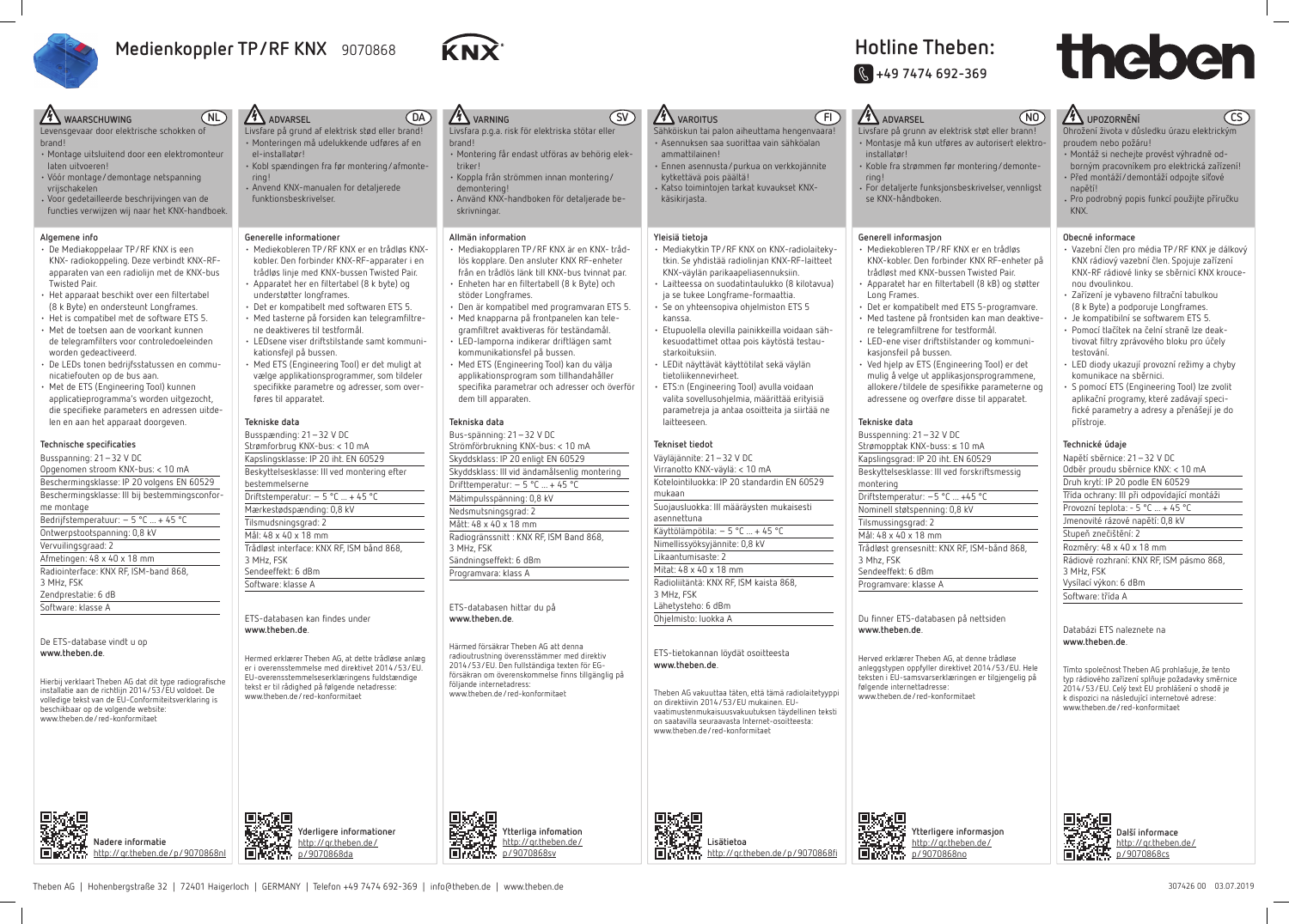# **Hotline Theben: J +49 7474 692-369**

Levensgevaar door elektrische schokken of brand!

- Montage uitsluitend door een elektromonteur laten uitvoeren!
- Vóór montage/demontage netspanning vrijschakelen
- Voor gedetailleerde beschrijvingen van de functies verwijzen wij naar het KNX-handboek.

### **Algemene info**

- De Mediakoppelaar TP/RF KNX is een KNX- radiokoppeling. Deze verbindt KNX-RFapparaten van een radiolijn met de KNX-bus Twisted Pair.
- Het apparaat beschikt over een filtertabel (8 k Byte) en ondersteunt Longframes.
- Het is compatibel met de software ETS 5.
- Met de toetsen aan de voorkant kunnen de telegramfilters voor controledoeleinden worden gedeactiveerd.
- De LEDs tonen bedrijfsstatussen en communicatiefouten op de bus aan.
- Met de ETS (Engineering Tool) kunnen applicatieprogramma's worden uitgezocht, die specifieke parameters en adressen uitdelen en aan het apparaat doorgeven.

Hierbij verklaart Theben AG dat dit type radiografische installatie aan de richtlijn 2014/53/EU voldoet. De volledige tekst van de EU-Conformiteitsverklaring is beschikbaar op de volgende website: www.theben.de/red-konformitaet



## **Technische specifi caties**

Busspanning: 21–32 V DC Opgenomen stroom KNX-bus: < 10 mA Beschermingsklasse: IP 20 volgens EN 60529 Beschermingsklasse: III bij bestemmingsconforme montage Bedrijfstemperatuur: – 5 °C ... + 45 °C Ontwerpstootspanning: 0,8 kV Vervuilingsgraad: 2 Afmetingen: 48 x 40 x 18 mm Radiointerface: KNX RF, ISM-band 868, 3 MHz, FSK Zendprestatie: 6 dB Software: klasse A

De ETS-database vindt u op **www.theben.de**.

> **Nadere informatie** http://qr.theben.de/p/9070868nl

http://qr.theben.de/



KNX-kobler. Den forbinder KNX RF-enheter på • Apparatet har en filtertabell (8 kB) og støtter

- Det er kompatibelt med ETS 5-programvare. • Med tastene på frontsiden kan man deaktive-
- LED-ene viser driftstilstander og kommuni-
- Ved hjelp av ETS (Engineering Tool) er det mulig å velge ut applikasjonsprogrammene, allokere/tildele de spesifikke parameterne og
	-

### **NL ADVARSEL** Livsfare på grund af elektrisk stød eller brand! • Monteringen må udelukkende udføres af en el-installatør! • Kobl spændingen fra før montering/afmontering! • Anvend KNX-manualen for detaljerede funktionsbeskrivelser. **Generelle informationer** • Mediekobleren TP/RF KNX er en trådløs KNXkobler. Den forbinder KNX-RF-apparater i en trådløs linje med KNX-bussen Twisted Pair. • Apparatet her en filtertabel (8 k byte) og understøtter longframes. • Det er kompatibelt med softwaren ETS 5. • Med tasterne på forsiden kan telegramfiltrene deaktiveres til testformål. • LEDsene viser driftstilstande samt kommunikationsfejl på bussen. • Med ETS (Engineering Tool) er det muligt at vælge applikationsprogrammer, som tildeler specifikke parametre og adresser, som overføres til apparatet. **Tekniske data** Busspænding: 21–32 V DC Strømforbrug KNX-bus: < 10 mA Kapslingsklasse: IP 20 iht. EN 60529 Beskyttelsesklasse: III ved montering efter bestemmelserne Driftstemperatur:  $-5$  °C  $+45$  °C Mærkestødspænding: 0,8 kV Tilsmudsningsgrad: 2 Mål: 48 x 40 x 18 mm Trådløst interface: KNX RF, ISM bånd 868, 3 MHz, FSK Sendeeffekt: 6 dBm Software: klasse A ETS-databasen kan findes under **www.theben.de**. Hermed erklærer Theben AG, at dette trådløse anlæg er i overensstemmelse med direktivet 2014/53/EU. EU-overensstemmelseserklæringens fuldstændige tekst er til rådighed på følgende netadresse: www.theben.de/red-konformitaet  **Yderligere informationer DA** *VARNING* Livsfara p.g.a. risk för elektriska stötar eller brand! • Montering får endast utföras av behörig elektriker! • Koppla från strömmen innan montering/ demontering! • Använd KNX-handboken för detaljerade beskrivningar. **Allmän information** • Mediakopplaren TP/RF KNX är en KNX- trådlös kopplare. Den ansluter KNX RF-enheter från en trådlös länk till KNX-bus tvinnat par. • Enheten har en filtertabell (8 k Byte) och stöder Longframes. • Den är kompatibel med programvaran ETS 5. • Med knapparna på frontpanelen kan telegramfiltret avaktiveras för teständamål. • LED-lamporna indikerar driftlägen samt kommunikationsfel på bussen. • Med ETS (Engineering Tool) kan du välja applikationsprogram som tillhandahåller specifika parametrar och adresser och överför dem till apparaten. **Tekniska data** Bus-spänning: 21–32 V DC Strömförbrukning KNX-bus: < 10 mA Skyddsklass: IP 20 enligt EN 60529 Skyddsklass: III vid ändamålsenlig montering Drifttemperatur: – 5 °C ... + 45 °C Mätimpulsspänning: 0,8 kV Nedsmutsningsgrad: 2 Mått: 48 x 40 x 18 mm Radiogränssnitt : KNX RF, ISM Band 868, 3 MHz, FSK Sändningseffekt: 6 dBm Programvara: klass A ETS-databasen hittar du på **www.theben.de**. Härmed försäkrar Theben AG att denna radioutrustning överensstämmer med direktiv 2014/53/EU. Den fullständiga texten för EGförsäkran om överenskommelse finns tillgänglig på följande internetadress: www.theben.de/red-konformitaet  **Ytterliga infomation** http://qr.theben.de/ **SV 4** VAROITUS Sähköiskun tai palon aiheuttama hengenvaara! • Asennuksen saa suorittaa vain sähköalan ammattilainen! • Ennen asennusta/purkua on verkkojännite kytkettävä pois päältä! • Katso toimintojen tarkat kuvaukset KNXkäsikirjasta. **Yleisiä tietoja** • Mediakytkin TP/RF KNX on KNX-radiolaitekytkin. Se yhdistää radiolinjan KNX-RF-laitteet KNX-väylän parikaapeliasennuksiin. • Laitteessa on suodatintaulukko (8 kilotavua) ja se tukee Longframe-formaattia. • Se on yhteensopiva ohjelmiston ETS 5 kanssa. • Etupuolella olevilla painikkeilla voidaan sähkesuodattimet ottaa pois käytöstä testaustarkoituksiin. • LEDit näyttävät käyttötilat sekä väylän tietoliikennevirheet. • ETS:n (Engineering Tool) avulla voidaan valita sovellusohjelmia, määrittää erityisiä parametreja ja antaa osoitteita ja siirtää ne laitteeseen. **Tekniset tiedot** Väyläjännite: 21–32 V DC Virranotto KNX-väylä: < 10 mA Kotelointiluokka: IP 20 standardin EN 60529 mukaan Suojausluokka: III määräysten mukaisesti asennettuna Käyttölämpötila: – 5 °C ... + 45 °C Nimellissyöksyjännite: 0,8 kV Likaantumisaste: 2 Mitat: 48 x 40 x 18 mm Radioliitäntä: KNX RF, ISM kaista 868, 3 MHz, FSK Lähetysteho: 6 dBm Ohjelmisto: luokka A ETS-tietokannan löydät osoitteesta **www.theben.de**. Theben AG vakuuttaa täten, että tämä radiolaitetyyppi on direktiivin 2014/53/EU mukainen. EUvaatimustenmukaisuusvakuutuksen täydellinen teksti on saatavilla seuraavasta Internet-osoitteesta: www.theben.de/red-konformitaet  **Lisätietoa FI ADVARSEL** installatør! ring! se KNX-håndboken. **Generell informasjon** • Mediekobleren TP/RF KNX er en trådløs trådløst med KNX-bussen Twisted Pair. Long Frames. re telegramfiltrene for testformål. kasjonsfeil på bussen. adressene og overføre disse til apparatet. **Tekniske data** Busspenning: 21–32 V DC Strømopptak KNX-buss: ≤ 10 mA Kapslingsgrad: IP 20 iht. EN 60529 Beskyttelsesklasse: III ved forskriftsmessig montering Driftstemperatur: –5 °C ... +45 °C Nominell støtspenning: 0,8 kV Tilsmussingsgrad: 2 Mål: 48 x 40 x 18 mm Trådløst grensesnitt: KNX RF, ISM-bånd 868, 3 Mhz, FSK Sendeeffekt: 6 dBm Programvare: klasse A Du finner ETS-databasen på nettsiden **www.theben.de**. Herved erklærer Theben AG, at denne trådløse følgende internettadresse: www.theben.de/red-konformitaet

# **XX** WAARSCHUWING





Livsfare på grunn av elektrisk støt eller brann! • Montasje må kun utføres av autorisert elektro-

• Koble fra strømmen før montering/demonte-

• For detaljerte funksjonsbeskrivelser, vennligst

anleggstypen oppfyller direktivet 2014/53/EU. Hele teksten i EU-samsvarserklæringen er tilgjengelig på

> **Ytterligere informasjon** http://qr.theben.de/





# **NO UPOZORNĚNÍ**

- Montáž si nechejte provést výhradnĕ odborným pracovníkem pro elektrická zařízení!
- Před montáží/demontáží odpojte síťové napětíl
- Pro podrobný popis funkcí použijte příručku KNX.

### **Obecné informace**

- Vazební člen pro média TP/RF KNX je dálkový KNX rádiový vazební člen. Spojuje zařízení KNX-RF rádiové linky se sběrnicí KNX kroucenou dvoulinkou.
- Zařízení je vybaveno filtrační tabulkou (8 k Byte) a podporuje Longframes.
- Je kompatibilní se softwarem ETS 5.
- Pomocí tlačítek na čelní straně lze deaktivovat filtry zprávového bloku pro účely testování.
- LED diody ukazují provozní režimy a chyby komunikace na sběrnici.
- S pomocí ETS (Engineering Tool) lze zvolit aplikační programy, které zadávají specifi cké parametry a adresy a přenášejí je do přístroje.

Ohrožení života v důsledku úrazu elektrickým proudem nebo požáru! **CS**

### **Technické údaje**

Napětí sběrnice: 21–32 V DC Odběr proudu sběrnice KNX: < 10 mA Druh krytí: IP 20 podle EN 60529 Třída ochrany: III při odpovídající montáži Provozní teplota: - 5 °C ... + 45 °C Jmenovité rázové napětí: 0,8 kV Stupeň znečištění: 2 Rozměry: 48 x 40 x 18 mm Rádiové rozhraní: KNX RF, ISM pásmo 868, 3 MHz, FSK Vysílací výkon: 6 dBm Software: třída A

### Databázi ETS naleznete na **www.theben.de**.

Tímto společnost Theben AG prohlašuje, že tento typ rádiového zařízení splňuje požadavky směrnice 2014/53/EU. Celý text EU prohlášení o shodě je k dispozici na následující internetové adrese: www.theben.de/red-konformitaet



 **Další informace** http://qr.theben.de/ p/9070868cs



# **Medienkoppler TP/RF KNX** 9070868